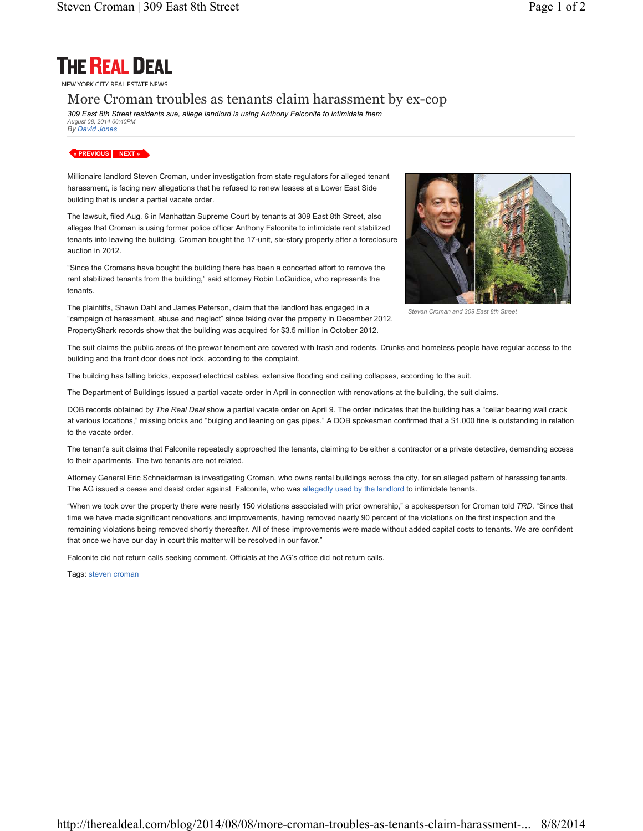

## NEW YORK CITY REAL ESTATE NEWS

## More Croman troubles as tenants claim harassment by ex-cop

*309 East 8th Street residents sue, allege landlord is using Anthony Falconite to intimidate them August 08, 2014 06:40PM By David Jones*

## **« PREVIOUS NEXT »**

Millionaire landlord Steven Croman, under investigation from state regulators for alleged tenant harassment, is facing new allegations that he refused to renew leases at a Lower East Side building that is under a partial vacate order.

The lawsuit, filed Aug. 6 in Manhattan Supreme Court by tenants at 309 East 8th Street, also alleges that Croman is using former police officer Anthony Falconite to intimidate rent stabilized tenants into leaving the building. Croman bought the 17-unit, six-story property after a foreclosure auction in 2012.

"Since the Cromans have bought the building there has been a concerted effort to remove the rent stabilized tenants from the building," said attorney Robin LoGuidice, who represents the tenants.



*Steven Croman and 309 East 8th Street*

The plaintiffs, Shawn Dahl and James Peterson, claim that the landlord has engaged in a "campaign of harassment, abuse and neglect" since taking over the property in December 2012. PropertyShark records show that the building was acquired for \$3.5 million in October 2012.

The suit claims the public areas of the prewar tenement are covered with trash and rodents. Drunks and homeless people have regular access to the building and the front door does not lock, according to the complaint.

The building has falling bricks, exposed electrical cables, extensive flooding and ceiling collapses, according to the suit.

The Department of Buildings issued a partial vacate order in April in connection with renovations at the building, the suit claims.

DOB records obtained by *The Real Deal* show a partial vacate order on April 9. The order indicates that the building has a "cellar bearing wall crack at various locations," missing bricks and "bulging and leaning on gas pipes." A DOB spokesman confirmed that a \$1,000 fine is outstanding in relation to the vacate order.

The tenant's suit claims that Falconite repeatedly approached the tenants, claiming to be either a contractor or a private detective, demanding access to their apartments. The two tenants are not related.

Attorney General Eric Schneiderman is investigating Croman, who owns rental buildings across the city, for an alleged pattern of harassing tenants. The AG issued a cease and desist order against Falconite, who was allegedly used by the landlord to intimidate tenants.

"When we took over the property there were nearly 150 violations associated with prior ownership," a spokesperson for Croman told *TRD*. "Since that time we have made significant renovations and improvements, having removed nearly 90 percent of the violations on the first inspection and the remaining violations being removed shortly thereafter. All of these improvements were made without added capital costs to tenants. We are confident that once we have our day in court this matter will be resolved in our favor."

Falconite did not return calls seeking comment. Officials at the AG's office did not return calls.

Tags: steven croman